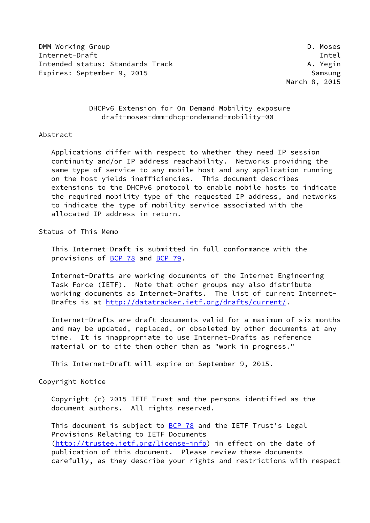DMM Working Group **D. Moses** D. Moses Internet-Draft Theory and the United States of the United States of the United States of the United States of the U Intended status: Standards Track A. Yegin Expires: September 9, 2015 Samsung

March 8, 2015

 DHCPv6 Extension for On Demand Mobility exposure draft-moses-dmm-dhcp-ondemand-mobility-00

## Abstract

 Applications differ with respect to whether they need IP session continuity and/or IP address reachability. Networks providing the same type of service to any mobile host and any application running on the host yields inefficiencies. This document describes extensions to the DHCPv6 protocol to enable mobile hosts to indicate the required mobility type of the requested IP address, and networks to indicate the type of mobility service associated with the allocated IP address in return.

Status of This Memo

 This Internet-Draft is submitted in full conformance with the provisions of [BCP 78](https://datatracker.ietf.org/doc/pdf/bcp78) and [BCP 79](https://datatracker.ietf.org/doc/pdf/bcp79).

 Internet-Drafts are working documents of the Internet Engineering Task Force (IETF). Note that other groups may also distribute working documents as Internet-Drafts. The list of current Internet- Drafts is at<http://datatracker.ietf.org/drafts/current/>.

 Internet-Drafts are draft documents valid for a maximum of six months and may be updated, replaced, or obsoleted by other documents at any time. It is inappropriate to use Internet-Drafts as reference material or to cite them other than as "work in progress."

This Internet-Draft will expire on September 9, 2015.

Copyright Notice

 Copyright (c) 2015 IETF Trust and the persons identified as the document authors. All rights reserved.

This document is subject to **[BCP 78](https://datatracker.ietf.org/doc/pdf/bcp78)** and the IETF Trust's Legal Provisions Relating to IETF Documents [\(http://trustee.ietf.org/license-info](http://trustee.ietf.org/license-info)) in effect on the date of publication of this document. Please review these documents carefully, as they describe your rights and restrictions with respect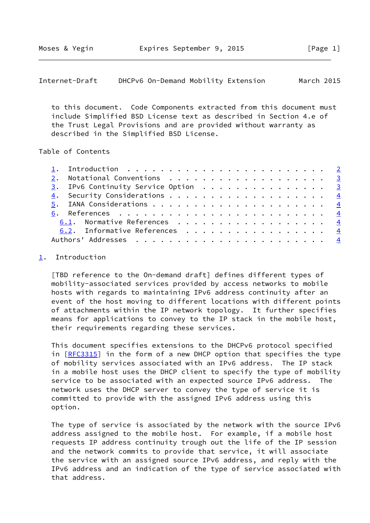<span id="page-1-1"></span>Internet-Draft DHCPv6 On-Demand Mobility Extension March 2015

 to this document. Code Components extracted from this document must include Simplified BSD License text as described in Section 4.e of the Trust Legal Provisions and are provided without warranty as described in the Simplified BSD License.

## Table of Contents

|  | 3. IPv6 Continuity Service Option 3 |  |
|--|-------------------------------------|--|
|  |                                     |  |
|  |                                     |  |
|  |                                     |  |
|  | 6.1. Normative References 4         |  |
|  | 6.2. Informative References 4       |  |
|  |                                     |  |

## <span id="page-1-0"></span>[1](#page-1-0). Introduction

 [TBD reference to the On-demand draft] defines different types of mobility-associated services provided by access networks to mobile hosts with regards to maintaining IPv6 address continuity after an event of the host moving to different locations with different points of attachments within the IP network topology. It further specifies means for applications to convey to the IP stack in the mobile host, their requirements regarding these services.

 This document specifies extensions to the DHCPv6 protocol specified in  $[REC3315]$  in the form of a new DHCP option that specifies the type of mobility services associated with an IPv6 address. The IP stack in a mobile host uses the DHCP client to specify the type of mobility service to be associated with an expected source IPv6 address. The network uses the DHCP server to convey the type of service it is committed to provide with the assigned IPv6 address using this option.

 The type of service is associated by the network with the source IPv6 address assigned to the mobile host. For example, if a mobile host requests IP address continuity trough out the life of the IP session and the network commits to provide that service, it will associate the service with an assigned source IPv6 address, and reply with the IPv6 address and an indication of the type of service associated with that address.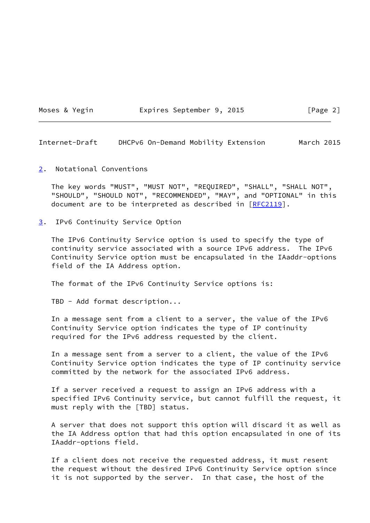Moses & Yegin **Expires September 9, 2015** [Page 2]

<span id="page-2-1"></span>Internet-Draft DHCPv6 On-Demand Mobility Extension March 2015

<span id="page-2-0"></span>[2](#page-2-0). Notational Conventions

 The key words "MUST", "MUST NOT", "REQUIRED", "SHALL", "SHALL NOT", "SHOULD", "SHOULD NOT", "RECOMMENDED", "MAY", and "OPTIONAL" in this document are to be interpreted as described in [\[RFC2119](https://datatracker.ietf.org/doc/pdf/rfc2119)].

<span id="page-2-2"></span>[3](#page-2-2). IPv6 Continuity Service Option

 The IPv6 Continuity Service option is used to specify the type of continuity service associated with a source IPv6 address. The IPv6 Continuity Service option must be encapsulated in the IAaddr-options field of the IA Address option.

The format of the IPv6 Continuity Service options is:

TBD - Add format description...

 In a message sent from a client to a server, the value of the IPv6 Continuity Service option indicates the type of IP continuity required for the IPv6 address requested by the client.

 In a message sent from a server to a client, the value of the IPv6 Continuity Service option indicates the type of IP continuity service committed by the network for the associated IPv6 address.

 If a server received a request to assign an IPv6 address with a specified IPv6 Continuity service, but cannot fulfill the request, it must reply with the [TBD] status.

 A server that does not support this option will discard it as well as the IA Address option that had this option encapsulated in one of its IAaddr-options field.

 If a client does not receive the requested address, it must resent the request without the desired IPv6 Continuity Service option since it is not supported by the server. In that case, the host of the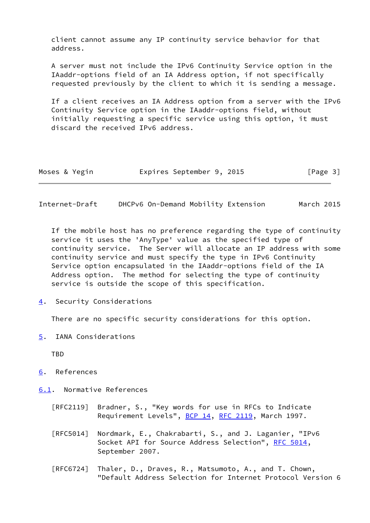client cannot assume any IP continuity service behavior for that address.

 A server must not include the IPv6 Continuity Service option in the IAaddr-options field of an IA Address option, if not specifically requested previously by the client to which it is sending a message.

 If a client receives an IA Address option from a server with the IPv6 Continuity Service option in the IAaddr-options field, without initially requesting a specific service using this option, it must discard the received IPv6 address.

|  | Moses & Yegin |  | Expires September 9, 2015 |  |  | [Page 3] |  |  |
|--|---------------|--|---------------------------|--|--|----------|--|--|
|--|---------------|--|---------------------------|--|--|----------|--|--|

<span id="page-3-1"></span>Internet-Draft DHCPv6 On-Demand Mobility Extension March 2015

 If the mobile host has no preference regarding the type of continuity service it uses the 'AnyType' value as the specified type of continuity service. The Server will allocate an IP address with some continuity service and must specify the type in IPv6 Continuity Service option encapsulated in the IAaddr-options field of the IA Address option. The method for selecting the type of continuity service is outside the scope of this specification.

<span id="page-3-0"></span>[4](#page-3-0). Security Considerations

There are no specific security considerations for this option.

<span id="page-3-2"></span>[5](#page-3-2). IANA Considerations

**TBD** 

<span id="page-3-3"></span>[6](#page-3-3). References

<span id="page-3-4"></span>[6.1](#page-3-4). Normative References

- [RFC2119] Bradner, S., "Key words for use in RFCs to Indicate Requirement Levels", [BCP 14](https://datatracker.ietf.org/doc/pdf/bcp14), [RFC 2119](https://datatracker.ietf.org/doc/pdf/rfc2119), March 1997.
- [RFC5014] Nordmark, E., Chakrabarti, S., and J. Laganier, "IPv6 Socket API for Source Address Selection", [RFC 5014](https://datatracker.ietf.org/doc/pdf/rfc5014), September 2007.
- [RFC6724] Thaler, D., Draves, R., Matsumoto, A., and T. Chown, "Default Address Selection for Internet Protocol Version 6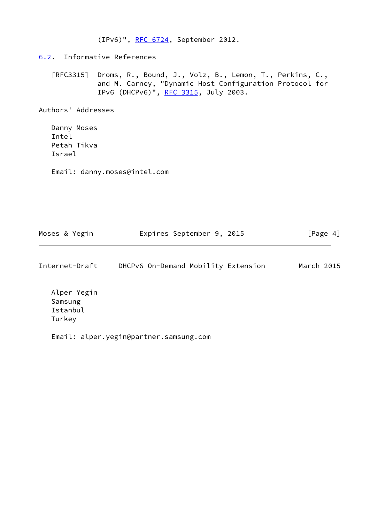(IPv6)", [RFC 6724,](https://datatracker.ietf.org/doc/pdf/rfc6724) September 2012.

<span id="page-4-0"></span>[6.2](#page-4-0). Informative References

 [RFC3315] Droms, R., Bound, J., Volz, B., Lemon, T., Perkins, C., and M. Carney, "Dynamic Host Configuration Protocol for IPv6 (DHCPv6)", [RFC 3315,](https://datatracker.ietf.org/doc/pdf/rfc3315) July 2003.

Authors' Addresses

 Danny Moses Intel Petah Tikva Israel

Email: danny.moses@intel.com

| Moses & Yegin | Expires September 9, 2015 |  | [Page 4] |  |
|---------------|---------------------------|--|----------|--|
|               |                           |  |          |  |

Internet-Draft DHCPv6 On-Demand Mobility Extension March 2015

 Alper Yegin Samsung Istanbul Turkey

Email: alper.yegin@partner.samsung.com